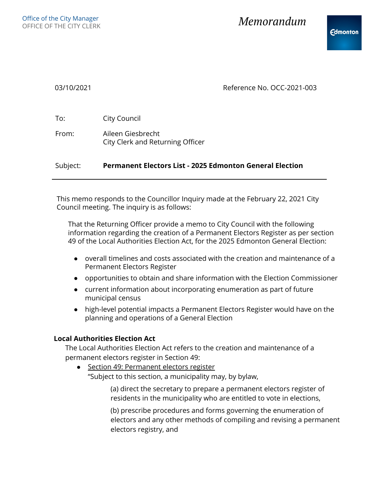| 03/10/2021 | Reference No. OCC-2021-003                                      |
|------------|-----------------------------------------------------------------|
| To:        | City Council                                                    |
| From:      | Aileen Giesbrecht<br>City Clerk and Returning Officer           |
| Subject:   | <b>Permanent Electors List - 2025 Edmonton General Election</b> |
|            |                                                                 |

This memo responds to the Councillor Inquiry made at the February 22, 2021 City Council meeting. The inquiry is as follows:

That the Returning Officer provide a memo to City Council with the following information regarding the creation of a Permanent Electors Register as per section 49 of the Local Authorities Election Act, for the 2025 Edmonton General Election:

- overall timelines and costs associated with the creation and maintenance of a Permanent Electors Register
- opportunities to obtain and share information with the Election Commissioner
- current information about incorporating enumeration as part of future municipal census
- high-level potential impacts a Permanent Electors Register would have on the planning and operations of a General Election

## **Local Authorities Election Act**

The Local Authorities Election Act refers to the creation and maintenance of a permanent electors register in Section 49:

● Section 49: Permanent electors register "Subject to this section, a municipality may, by bylaw,

> (a) direct the secretary to prepare a permanent electors register of residents in the municipality who are entitled to vote in elections,

(b) prescribe procedures and forms governing the enumeration of electors and any other methods of compiling and revising a permanent electors registry, and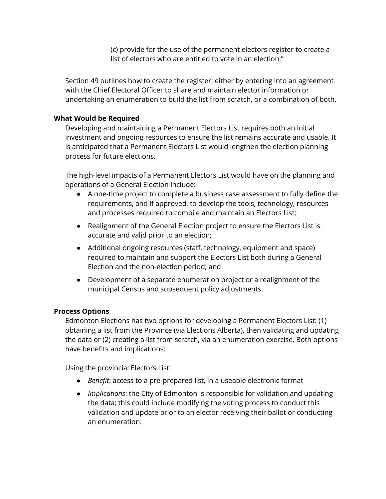(c) provide for the use of the permanent electors register to create a list of electors who are entitled to vote in an election."

Section 49 outlines how to create the register: either by entering into an agreement with the Chief Electoral Officer to share and maintain elector information or undertaking an enumeration to build the list from scratch, or a combination of both.

# **What Would be Required**

Developing and maintaining a Permanent Electors List requires both an initial investment and ongoing resources to ensure the list remains accurate and usable. It is anticipated that a Permanent Electors List would lengthen the election planning process for future elections.

The high-level impacts of a Permanent Electors List would have on the planning and operations of a General Election include:

- A one-time project to complete a business case assessment to fully define the requirements, and if approved, to develop the tools, technology, resources and processes required to compile and maintain an Electors List;
- Realignment of the General Election project to ensure the Electors List is accurate and valid prior to an election;
- Additional ongoing resources (staff, technology, equipment and space) required to maintain and support the Electors List both during a General Election and the non-election period; and
- Development of a separate enumeration project or a realignment of the municipal Census and subsequent policy adjustments.

# **Process Options**

Edmonton Elections has two options for developing a Permanent Electors List: (1) obtaining a list from the Province (via Elections Alberta), then validating and updating the data or (2) creating a list from scratch, via an enumeration exercise. Both options have benefits and implications:

Using the provincial Electors List:

- *Benefit*: access to a pre-prepared list, in a useable electronic format
- *Implications*: the City of Edmonton is responsible for validation and updating the data; this could include modifying the voting process to conduct this validation and update prior to an elector receiving their ballot or conducting an enumeration.